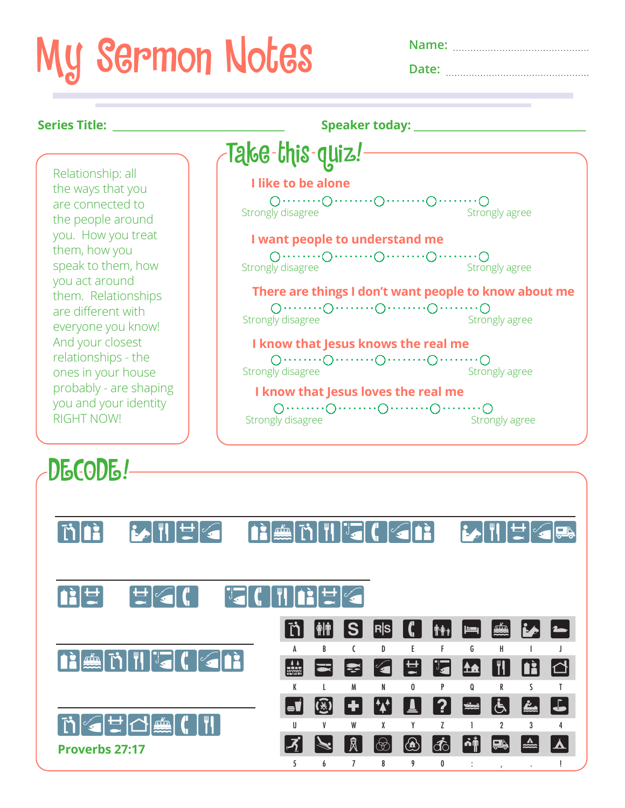## My Sermon Notes **Name:**

| Name: |
|-------|
| Date: |

| Series Title: _______                                                                                                                                                                                                                                                                                                                                                      | Speaker today: _________                                                                                                                                                                                                                                                  |
|----------------------------------------------------------------------------------------------------------------------------------------------------------------------------------------------------------------------------------------------------------------------------------------------------------------------------------------------------------------------------|---------------------------------------------------------------------------------------------------------------------------------------------------------------------------------------------------------------------------------------------------------------------------|
|                                                                                                                                                                                                                                                                                                                                                                            | Tąke-this-quiz!                                                                                                                                                                                                                                                           |
| Relationship: all<br>the ways that you<br>are connected to<br>the people around<br>you. How you treat<br>them, how you<br>speak to them, how<br>you act around<br>them. Relationships<br>are different with<br>everyone you know!<br>And your closest<br>relationships - the<br>ones in your house<br>probably - are shaping<br>you and your identity<br><b>RIGHT NOW!</b> | I like to be alone<br>Strongly disagree<br>Strongly agree<br>I want people to understand me<br>Strongly disagree<br>Strongly agree<br>There are things I don't want people to know about me<br>Strongly disagree<br>Strongly agree<br>I know that Jesus knows the real me |
|                                                                                                                                                                                                                                                                                                                                                                            | $0 \cdots 0 \cdots 0 \cdots 0 \cdots 0 \cdots 0 \cdots 0$<br>Strongly disagree<br>Strongly agree<br>I know that Jesus loves the real me<br>Strongly disagree<br>Strongly agree                                                                                            |

MA BATTER ABAMTUGICKAN BATTERAS **SOF PERSON DECIMBER SHARPENSE AND SHARPENSE AND SHARPENSE AND SHARPENSE AND SHARPENSE AND SHARPENSE AND SHARPENSE AND SHARPENSE AN MOECE**CH  $\begin{picture}(18,4) \put(0,0){\line(1,0){155}} \put(10,0){\line(1,0){155}} \put(10,0){\line(1,0){155}} \put(10,0){\line(1,0){155}} \put(10,0){\line(1,0){155}} \put(10,0){\line(1,0){155}} \put(10,0){\line(1,0){155}} \put(10,0){\line(1,0){155}} \put(10,0){\line(1,0){155}} \put(10,0){\line(1,0){155}} \put(10,0){\line(1,0){155}} \put$ A B C D E F G H I J **M P 2 K P T A M B A** K L M N O P Q R S T U Ø D W U ? E & & B U V W X Y Z 1 2 3 4  $\mathcal{F}$   $\mathbb{R}$   $\mathbb{R}$   $\circledcirc$   $\circledcirc$   $\circledcirc$   $\circledcirc$   $\circledcirc$   $\circledcirc$   $\bullet$   $\mathbb{R}$   $\mathbb{Z}$   $\mathbb{Z}$   $\mathbb{Z}$ 5 6 7 8 9 0 : , . ! DECODE! **Proverbs 27:17**